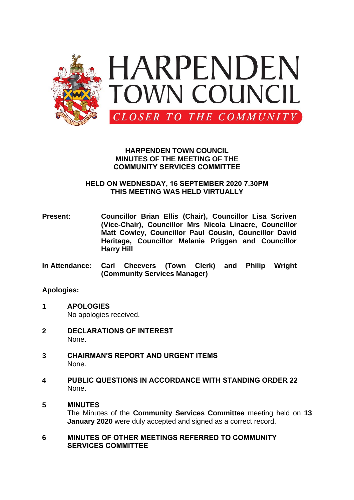

### **HARPENDEN TOWN COUNCIL MINUTES OF THE MEETING OF THE COMMUNITY SERVICES COMMITTEE**

### **HELD ON WEDNESDAY, 16 SEPTEMBER 2020 7.30PM THIS MEETING WAS HELD VIRTUALLY**

- **Present: Councillor Brian Ellis (Chair), Councillor Lisa Scriven (Vice-Chair), Councillor Mrs Nicola Linacre, Councillor Matt Cowley, Councillor Paul Cousin, Councillor David Heritage, Councillor Melanie Priggen and Councillor Harry Hill**
- **In Attendance: Carl Cheevers (Town Clerk) and Philip Wright (Community Services Manager)**

# **Apologies:**

- **1 APOLOGIES** No apologies received.
- **2 DECLARATIONS OF INTEREST** None.
- **3 CHAIRMAN'S REPORT AND URGENT ITEMS** None.
- **4 PUBLIC QUESTIONS IN ACCORDANCE WITH STANDING ORDER 22** None.

# **5 MINUTES**

The Minutes of the **Community Services Committee** meeting held on **13 January 2020** were duly accepted and signed as a correct record.

**6 MINUTES OF OTHER MEETINGS REFERRED TO COMMUNITY SERVICES COMMITTEE**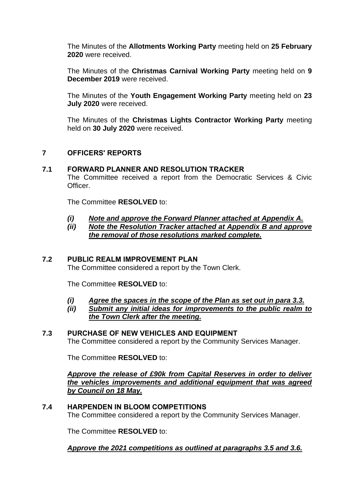The Minutes of the **Allotments Working Party** meeting held on **25 February 2020** were received.

The Minutes of the **Christmas Carnival Working Party** meeting held on **9 December 2019** were received.

The Minutes of the **Youth Engagement Working Party** meeting held on **23 July 2020** were received.

The Minutes of the **Christmas Lights Contractor Working Party** meeting held on **30 July 2020** were received.

# **7 OFFICERS' REPORTS**

### **7.1 FORWARD PLANNER AND RESOLUTION TRACKER**

The Committee received a report from the Democratic Services & Civic Officer.

The Committee **RESOLVED** to:

- *(i) Note and approve the Forward Planner attached at Appendix A.*
- *(ii) Note the Resolution Tracker attached at Appendix B and approve the removal of those resolutions marked complete.*

### **7.2 PUBLIC REALM IMPROVEMENT PLAN**

The Committee considered a report by the Town Clerk.

The Committee **RESOLVED** to:

- *(i) Agree the spaces in the scope of the Plan as set out in para 3.3.*
- *(ii) Submit any initial ideas for improvements to the public realm to the Town Clerk after the meeting.*

### **7.3 PURCHASE OF NEW VEHICLES AND EQUIPMENT**

The Committee considered a report by the Community Services Manager.

The Committee **RESOLVED** to:

*Approve the release of £90k from Capital Reserves in order to deliver the vehicles improvements and additional equipment that was agreed by Council on 18 May.*

#### **7.4 HARPENDEN IN BLOOM COMPETITIONS**

The Committee considered a report by the Community Services Manager.

The Committee **RESOLVED** to:

*Approve the 2021 competitions as outlined at paragraphs 3.5 and 3.6.*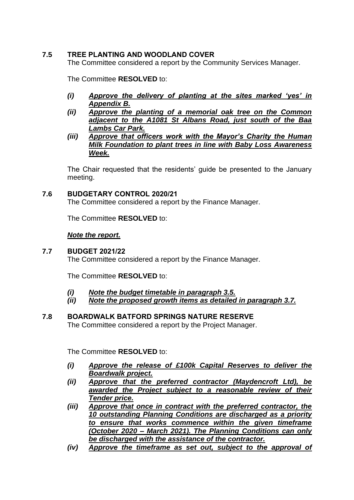## **7.5 TREE PLANTING AND WOODLAND COVER**

The Committee considered a report by the Community Services Manager.

The Committee **RESOLVED** to:

- *(i) Approve the delivery of planting at the sites marked 'yes' in Appendix B.*
- *(ii) Approve the planting of a memorial oak tree on the Common adjacent to the A1081 St Albans Road, just south of the Baa Lambs Car Park.*
- *(iii) Approve that officers work with the Mayor's Charity the Human Milk Foundation to plant trees in line with Baby Loss Awareness Week.*

The Chair requested that the residents' guide be presented to the January meeting.

### **7.6 BUDGETARY CONTROL 2020/21**

The Committee considered a report by the Finance Manager.

The Committee **RESOLVED** to:

### *Note the report.*

#### **7.7 BUDGET 2021/22**

The Committee considered a report by the Finance Manager.

The Committee **RESOLVED** to:

- *(i) Note the budget timetable in paragraph 3.5.*
- *(ii) Note the proposed growth items as detailed in paragraph 3.7.*

### **7.8 BOARDWALK BATFORD SPRINGS NATURE RESERVE**

The Committee considered a report by the Project Manager.

The Committee **RESOLVED** to:

- *(i) Approve the release of £100k Capital Reserves to deliver the Boardwalk project.*
- *(ii) Approve that the preferred contractor (Maydencroft Ltd), be awarded the Project subject to a reasonable review of their Tender price.*
- *(iii) Approve that once in contract with the preferred contractor, the 10 outstanding Planning Conditions are discharged as a priority to ensure that works commence within the given timeframe (October 2020 – March 2021). The Planning Conditions can only be discharged with the assistance of the contractor.*
- *(iv) Approve the timeframe as set out, subject to the approval of*